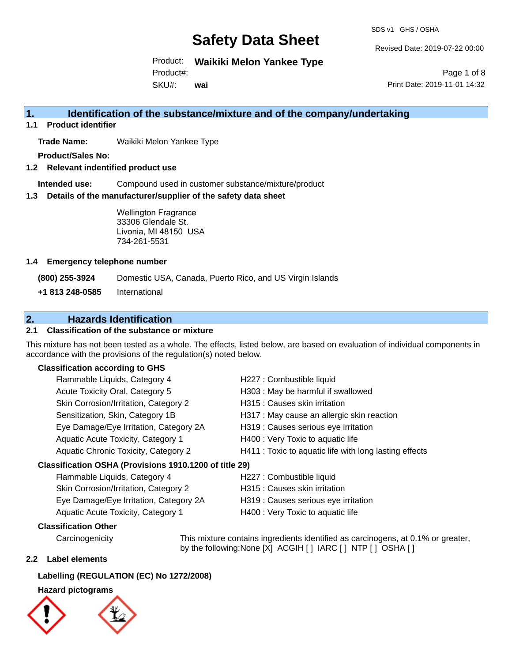SDS v1 GHS / OSHA

Revised Date: 2019-07-22 00:00

Product: **Waikiki Melon Yankee Type** Product#:

SKU#: **wai**

Page 1 of 8 Print Date: 2019-11-01 14:32

## **1. Identification of the substance/mixture and of the company/undertaking**

**1.1 Product identifier**

**Trade Name:** Waikiki Melon Yankee Type

**Product/Sales No:**

**1.2 Relevant indentified product use**

**Intended use:** Compound used in customer substance/mixture/product

**1.3 Details of the manufacturer/supplier of the safety data sheet**

Wellington Fragrance 33306 Glendale St. Livonia, MI 48150 USA 734-261-5531

## **1.4 Emergency telephone number**

**(800) 255-3924** Domestic USA, Canada, Puerto Rico, and US Virgin Islands

**+1 813 248-0585** International

## **2. Hazards Identification**

## **2.1 Classification of the substance or mixture**

This mixture has not been tested as a whole. The effects, listed below, are based on evaluation of individual components in accordance with the provisions of the regulation(s) noted below.

## **Classification according to GHS**

| Flammable Liquids, Category 4                       | H227 : Combustible liquid                              |
|-----------------------------------------------------|--------------------------------------------------------|
| Acute Toxicity Oral, Category 5                     | H303 : May be harmful if swallowed                     |
| Skin Corrosion/Irritation, Category 2               | H315 : Causes skin irritation                          |
| Sensitization, Skin, Category 1B                    | H317 : May cause an allergic skin reaction             |
| Eye Damage/Eye Irritation, Category 2A              | H319 : Causes serious eye irritation                   |
| Aquatic Acute Toxicity, Category 1                  | H400 : Very Toxic to aquatic life                      |
| Aquatic Chronic Toxicity, Category 2                | H411 : Toxic to aquatic life with long lasting effects |
| reification OSHA (Provisions 1910 1200 of title 29) |                                                        |

## **Classification OSHA (Provisions 1910.1200 of title 29)**

| Flammable Liquids, Category 4          | H227 : Combustible liquid            |
|----------------------------------------|--------------------------------------|
| Skin Corrosion/Irritation, Category 2  | H315 : Causes skin irritation        |
| Eye Damage/Eye Irritation, Category 2A | H319 : Causes serious eye irritation |
| Aquatic Acute Toxicity, Category 1     | H400 : Very Toxic to aquatic life    |

## **Classification Other**

by the following:None [X] ACGIH [] IARC [] NTP [] OSHA []

## **2.2 Label elements**

## **Labelling (REGULATION (EC) No 1272/2008)**

## **Hazard pictograms**



Carcinogenicity This mixture contains ingredients identified as carcinogens, at 0.1% or greater,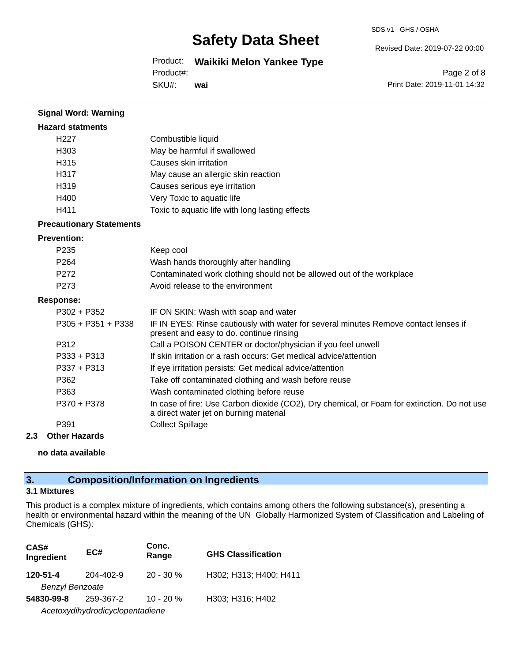SDS v1 GHS / OSHA

Revised Date: 2019-07-22 00:00

Product: **Waikiki Melon Yankee Type** Product#:

SKU#: **wai**

Page 2 of 8 Print Date: 2019-11-01 14:32

| <b>Signal Word: Warning</b>     |                                                                                                                                       |
|---------------------------------|---------------------------------------------------------------------------------------------------------------------------------------|
| <b>Hazard statments</b>         |                                                                                                                                       |
| H <sub>227</sub>                | Combustible liquid                                                                                                                    |
| H303                            | May be harmful if swallowed                                                                                                           |
| H315                            | Causes skin irritation                                                                                                                |
| H317                            | May cause an allergic skin reaction                                                                                                   |
| H319                            | Causes serious eye irritation                                                                                                         |
| H400                            | Very Toxic to aquatic life                                                                                                            |
| H411                            | Toxic to aquatic life with long lasting effects                                                                                       |
| <b>Precautionary Statements</b> |                                                                                                                                       |
| <b>Prevention:</b>              |                                                                                                                                       |
| P <sub>235</sub>                | Keep cool                                                                                                                             |
| P <sub>264</sub>                | Wash hands thoroughly after handling                                                                                                  |
| P272                            | Contaminated work clothing should not be allowed out of the workplace                                                                 |
| P <sub>273</sub>                | Avoid release to the environment                                                                                                      |
| <b>Response:</b>                |                                                                                                                                       |
| $P302 + P352$                   | IF ON SKIN: Wash with soap and water                                                                                                  |
| P305 + P351 + P338              | IF IN EYES: Rinse cautiously with water for several minutes Remove contact lenses if<br>present and easy to do. continue rinsing      |
| P312                            | Call a POISON CENTER or doctor/physician if you feel unwell                                                                           |
| $P333 + P313$                   | If skin irritation or a rash occurs: Get medical advice/attention                                                                     |
| P337 + P313                     | If eye irritation persists: Get medical advice/attention                                                                              |
| P362                            | Take off contaminated clothing and wash before reuse                                                                                  |
| P363                            | Wash contaminated clothing before reuse                                                                                               |
| P370 + P378                     | In case of fire: Use Carbon dioxide (CO2), Dry chemical, or Foam for extinction. Do not use<br>a direct water jet on burning material |
| P391                            | <b>Collect Spillage</b>                                                                                                               |
| 2.3<br><b>Other Hazards</b>     |                                                                                                                                       |

**no data available**

## **3. Composition/Information on Ingredients**

## **3.1 Mixtures**

This product is a complex mixture of ingredients, which contains among others the following substance(s), presenting a health or environmental hazard within the meaning of the UN Globally Harmonized System of Classification and Labeling of Chemicals (GHS):

| CAS#<br>Ingredient     | EC#                             | Conc.<br>Range | <b>GHS Classification</b> |
|------------------------|---------------------------------|----------------|---------------------------|
| 120-51-4               | 204-402-9                       | $20 - 30 \%$   | H302; H313; H400; H411    |
| <b>Benzyl Benzoate</b> |                                 |                |                           |
| 54830-99-8             | 259-367-2                       | $10 - 20 \%$   | H303; H316; H402          |
|                        | Acetoxydihydrodicyclopentadiene |                |                           |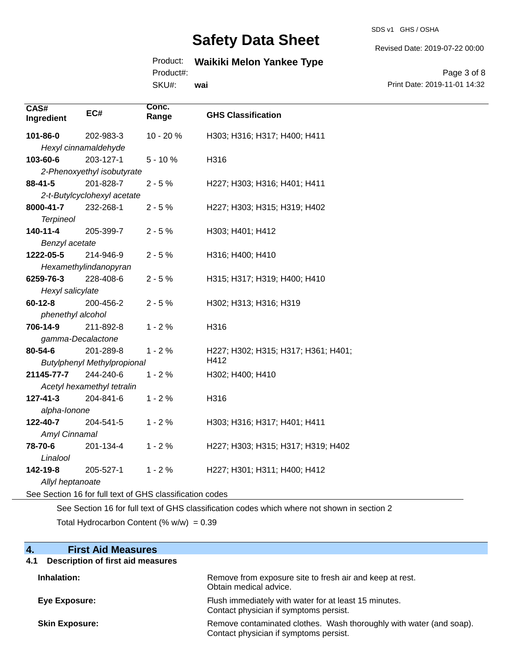Product: **Waikiki Melon Yankee Type**

Product#:

SKU#: **wai** Revised Date: 2019-07-22 00:00

SDS v1 GHS / OSHA

Page 3 of 8 Print Date: 2019-11-01 14:32

| CAS#<br>Ingredient   | EC#                                | Conc.<br>Range | <b>GHS Classification</b>           |
|----------------------|------------------------------------|----------------|-------------------------------------|
| 101-86-0             | 202-983-3                          | 10 - 20 %      | H303; H316; H317; H400; H411        |
| Hexyl cinnamaldehyde |                                    |                |                                     |
| 103-60-6             | 203-127-1                          | $5 - 10%$      | H316                                |
|                      | 2-Phenoxyethyl isobutyrate         |                |                                     |
| 88-41-5              | 201-828-7                          | $2 - 5%$       | H227; H303; H316; H401; H411        |
|                      | 2-t-Butylcyclohexyl acetate        |                |                                     |
| 8000-41-7            | 232-268-1                          | $2 - 5%$       | H227; H303; H315; H319; H402        |
| <b>Terpineol</b>     |                                    |                |                                     |
| 140-11-4             | 205-399-7                          | $2 - 5%$       | H303; H401; H412                    |
| Benzyl acetate       |                                    |                |                                     |
| 1222-05-5            | 214-946-9                          | $2 - 5%$       | H316; H400; H410                    |
|                      | Hexamethylindanopyran              |                |                                     |
| 6259-76-3            | 228-408-6                          | $2 - 5%$       | H315; H317; H319; H400; H410        |
| Hexyl salicylate     |                                    |                |                                     |
| $60 - 12 - 8$        | 200-456-2                          | $2 - 5 %$      | H302; H313; H316; H319              |
| phenethyl alcohol    |                                    |                |                                     |
| 706-14-9             | 211-892-8                          | $1 - 2%$       | H316                                |
| gamma-Decalactone    |                                    |                |                                     |
| 80-54-6              | 201-289-8                          | $1 - 2%$       | H227; H302; H315; H317; H361; H401; |
|                      | <b>Butylphenyl Methylpropional</b> |                | H412                                |
| 21145-77-7           | 244-240-6                          | $1 - 2%$       | H302; H400; H410                    |
|                      | Acetyl hexamethyl tetralin         |                |                                     |
| $127 - 41 - 3$       | 204-841-6                          | $1 - 2%$       | H316                                |
| alpha-lonone         |                                    |                |                                     |
| 122-40-7             | 204-541-5                          | $1 - 2%$       | H303; H316; H317; H401; H411        |
| Amyl Cinnamal        |                                    |                |                                     |
| 78-70-6              | 201-134-4                          | $1 - 2%$       | H227; H303; H315; H317; H319; H402  |
| Linalool             |                                    |                |                                     |
| 142-19-8             | 205-527-1                          | $1 - 2%$       | H227; H301; H311; H400; H412        |
| Allyl heptanoate     |                                    |                |                                     |

See Section 16 for full text of GHS classification codes

See Section 16 for full text of GHS classification codes which where not shown in section 2

Total Hydrocarbon Content (%  $w/w$ ) = 0.39

| <b>First Aid Measures</b><br>4.                 |                                                                                                               |
|-------------------------------------------------|---------------------------------------------------------------------------------------------------------------|
| <b>Description of first aid measures</b><br>4.1 |                                                                                                               |
| Inhalation:                                     | Remove from exposure site to fresh air and keep at rest.<br>Obtain medical advice.                            |
| Eye Exposure:                                   | Flush immediately with water for at least 15 minutes.<br>Contact physician if symptoms persist.               |
| <b>Skin Exposure:</b>                           | Remove contaminated clothes. Wash thoroughly with water (and soap).<br>Contact physician if symptoms persist. |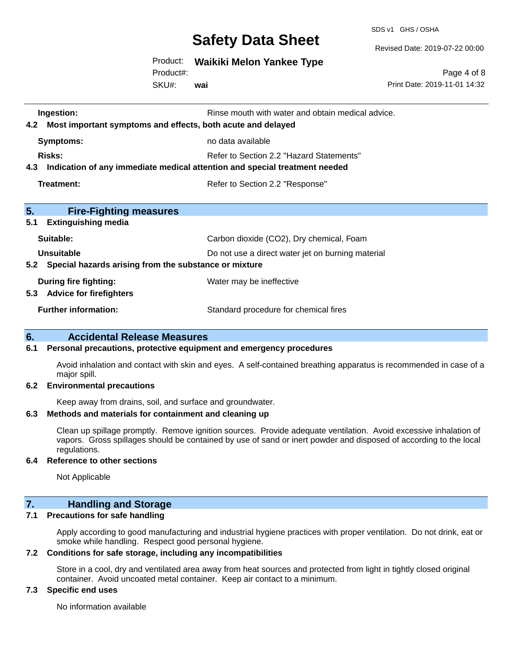SDS v1 GHS / OSHA

Revised Date: 2019-07-22 00:00

Product: **Waikiki Melon Yankee Type**

SKU#: Product#: **wai**

Page 4 of 8 Print Date: 2019-11-01 14:32

| Ingestion:<br>Most important symptoms and effects, both acute and delayed<br>4.2  | Rinse mouth with water and obtain medical advice. |  |
|-----------------------------------------------------------------------------------|---------------------------------------------------|--|
| Symptoms:                                                                         | no data available                                 |  |
| Risks:                                                                            | Refer to Section 2.2 "Hazard Statements"          |  |
| Indication of any immediate medical attention and special treatment needed<br>4.3 |                                                   |  |
| Treatment:                                                                        | Refer to Section 2.2 "Response"                   |  |
|                                                                                   |                                                   |  |
| 5.<br><b>Fire-Fighting measures</b>                                               |                                                   |  |
| 5.1<br><b>Extinguishing media</b>                                                 |                                                   |  |
| Suitable:                                                                         | Carbon dioxide (CO2), Dry chemical, Foam          |  |
| <b>Unsuitable</b>                                                                 | Do not use a direct water jet on burning material |  |
| Special hazards arising from the substance or mixture<br>5.2                      |                                                   |  |
| During fire fighting:                                                             | Water may be ineffective                          |  |
| <b>Advice for firefighters</b><br>5.3                                             |                                                   |  |
| <b>Further information:</b>                                                       | Standard procedure for chemical fires             |  |

## **6. Accidental Release Measures**

#### **6.1 Personal precautions, protective equipment and emergency procedures**

Avoid inhalation and contact with skin and eyes. A self-contained breathing apparatus is recommended in case of a major spill.

#### **6.2 Environmental precautions**

Keep away from drains, soil, and surface and groundwater.

### **6.3 Methods and materials for containment and cleaning up**

Clean up spillage promptly. Remove ignition sources. Provide adequate ventilation. Avoid excessive inhalation of vapors. Gross spillages should be contained by use of sand or inert powder and disposed of according to the local regulations.

#### **6.4 Reference to other sections**

Not Applicable

## **7. Handling and Storage**

### **7.1 Precautions for safe handling**

Apply according to good manufacturing and industrial hygiene practices with proper ventilation. Do not drink, eat or smoke while handling. Respect good personal hygiene.

## **7.2 Conditions for safe storage, including any incompatibilities**

Store in a cool, dry and ventilated area away from heat sources and protected from light in tightly closed original container. Avoid uncoated metal container. Keep air contact to a minimum.

#### **7.3 Specific end uses**

No information available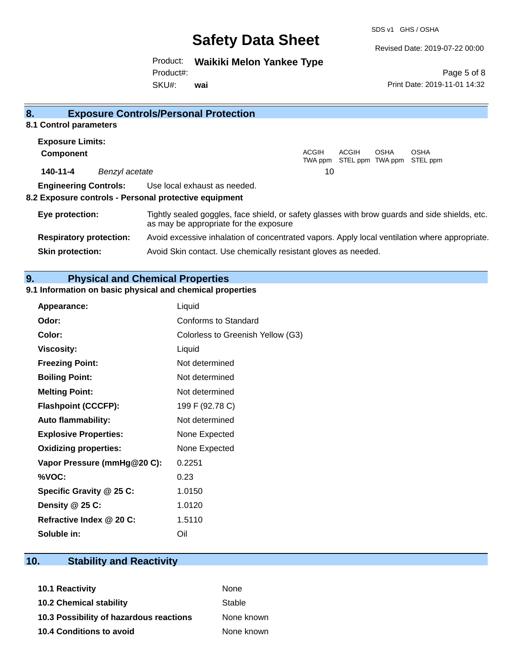SDS v1 GHS / OSHA

Revised Date: 2019-07-22 00:00

Print Date: 2019-11-01 14:32

Page 5 of 8

Product: **Waikiki Melon Yankee Type** Product#:

SKU#: **wai**

| 8.                             |                | <b>Exposure Controls/Personal Protection</b>                                                                                             |                  |       |             |                                          |
|--------------------------------|----------------|------------------------------------------------------------------------------------------------------------------------------------------|------------------|-------|-------------|------------------------------------------|
| 8.1 Control parameters         |                |                                                                                                                                          |                  |       |             |                                          |
| <b>Exposure Limits:</b>        |                |                                                                                                                                          |                  |       |             |                                          |
| <b>Component</b>               |                |                                                                                                                                          | ACGIH<br>TWA ppm | ACGIH | <b>OSHA</b> | <b>OSHA</b><br>STEL ppm TWA ppm STEL ppm |
| 140-11-4                       | Benzyl acetate |                                                                                                                                          | 10               |       |             |                                          |
| <b>Engineering Controls:</b>   |                | Use local exhaust as needed.<br>8.2 Exposure controls - Personal protective equipment                                                    |                  |       |             |                                          |
| Eye protection:                |                | Tightly sealed goggles, face shield, or safety glasses with brow guards and side shields, etc.<br>as may be appropriate for the exposure |                  |       |             |                                          |
| <b>Respiratory protection:</b> |                | Avoid excessive inhalation of concentrated vapors. Apply local ventilation where appropriate.                                            |                  |       |             |                                          |
| <b>Skin protection:</b>        |                | Avoid Skin contact. Use chemically resistant gloves as needed.                                                                           |                  |       |             |                                          |

## **9. Physical and Chemical Properties**

## **9.1 Information on basic physical and chemical properties**

| <b>Appearance:</b>           | Liquid                            |
|------------------------------|-----------------------------------|
| Odor:                        | Conforms to Standard              |
| Color:                       | Colorless to Greenish Yellow (G3) |
| <b>Viscosity:</b>            | Liquid                            |
| <b>Freezing Point:</b>       | Not determined                    |
| <b>Boiling Point:</b>        | Not determined                    |
| <b>Melting Point:</b>        | Not determined                    |
| <b>Flashpoint (CCCFP):</b>   | 199 F (92.78 C)                   |
| <b>Auto flammability:</b>    | Not determined                    |
| <b>Explosive Properties:</b> | None Expected                     |
| <b>Oxidizing properties:</b> | None Expected                     |
| Vapor Pressure (mmHg@20 C):  | 0.2251                            |
| %VOC:                        | 0.23                              |
| Specific Gravity @ 25 C:     | 1.0150                            |
| Density @ 25 C:              | 1.0120                            |
| Refractive Index @ 20 C:     | 1.5110                            |
| Soluble in:                  | Oil                               |

## **10. Stability and Reactivity**

| 10.1 Reactivity                         | <b>None</b> |
|-----------------------------------------|-------------|
| <b>10.2 Chemical stability</b>          | Stable      |
| 10.3 Possibility of hazardous reactions | None known  |
| <b>10.4 Conditions to avoid</b>         | None known  |
|                                         |             |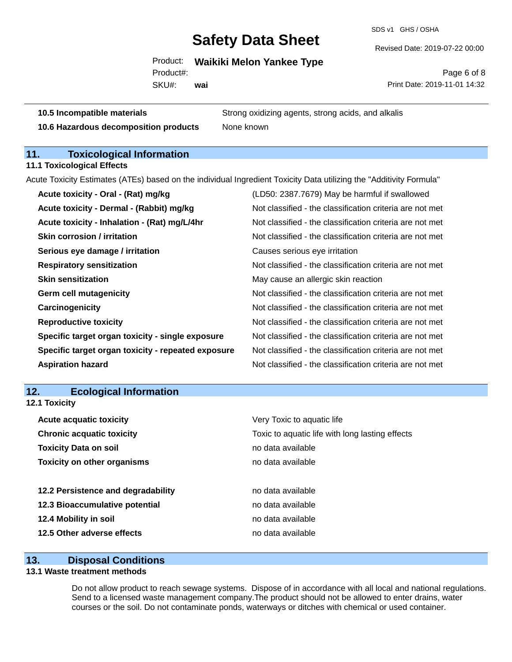SDS v1 GHS / OSHA

Revised Date: 2019-07-22 00:00

Product: **Waikiki Melon Yankee Type** SKU#: Product#: **wai**

Page 6 of 8 Print Date: 2019-11-01 14:32

**10.5 Incompatible materials** Strong oxidizing agents, strong acids, and alkalis

**10.6 Hazardous decomposition products** None known

## **11. Toxicological Information**

**11.1 Toxicological Effects**

Acute Toxicity Estimates (ATEs) based on the individual Ingredient Toxicity Data utilizing the "Additivity Formula"

| Acute toxicity - Oral - (Rat) mg/kg                | (LD50: 2387.7679) May be harmful if swallowed            |
|----------------------------------------------------|----------------------------------------------------------|
| Acute toxicity - Dermal - (Rabbit) mg/kg           | Not classified - the classification criteria are not met |
| Acute toxicity - Inhalation - (Rat) mg/L/4hr       | Not classified - the classification criteria are not met |
| <b>Skin corrosion / irritation</b>                 | Not classified - the classification criteria are not met |
| Serious eye damage / irritation                    | Causes serious eye irritation                            |
| <b>Respiratory sensitization</b>                   | Not classified - the classification criteria are not met |
| <b>Skin sensitization</b>                          | May cause an allergic skin reaction                      |
| <b>Germ cell mutagenicity</b>                      | Not classified - the classification criteria are not met |
| Carcinogenicity                                    | Not classified - the classification criteria are not met |
| <b>Reproductive toxicity</b>                       | Not classified - the classification criteria are not met |
| Specific target organ toxicity - single exposure   | Not classified - the classification criteria are not met |
| Specific target organ toxicity - repeated exposure | Not classified - the classification criteria are not met |
| <b>Aspiration hazard</b>                           | Not classified - the classification criteria are not met |

## **12. Ecological Information**

| 12.1 Toxicity                      |                                                 |
|------------------------------------|-------------------------------------------------|
| <b>Acute acquatic toxicity</b>     | Very Toxic to aquatic life                      |
| <b>Chronic acquatic toxicity</b>   | Toxic to aquatic life with long lasting effects |
| <b>Toxicity Data on soil</b>       | no data available                               |
| <b>Toxicity on other organisms</b> | no data available                               |
| 12.2 Persistence and degradability | no data available                               |
| 12.3 Bioaccumulative potential     | no data available                               |
| 12.4 Mobility in soil              | no data available                               |
| 12.5 Other adverse effects         | no data available                               |

## **13. Disposal Conditions**

## **13.1 Waste treatment methods**

Do not allow product to reach sewage systems. Dispose of in accordance with all local and national regulations. Send to a licensed waste management company.The product should not be allowed to enter drains, water courses or the soil. Do not contaminate ponds, waterways or ditches with chemical or used container.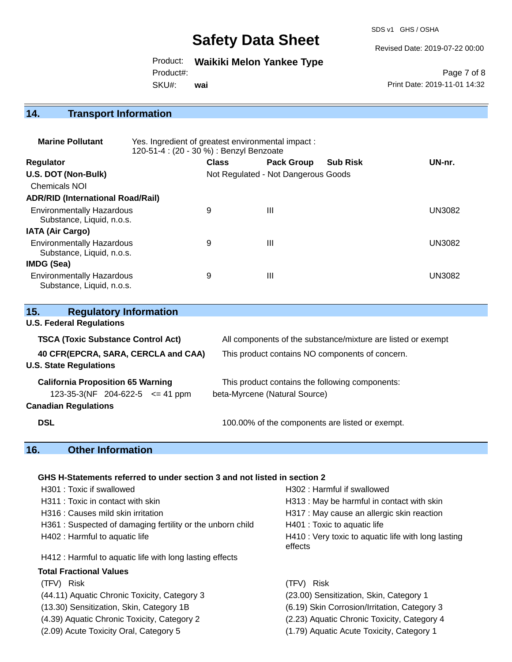SDS v1 GHS / OSHA

Revised Date: 2019-07-22 00:00

Product: **Waikiki Melon Yankee Type** SKU#: Product#: **wai**

Page 7 of 8 Print Date: 2019-11-01 14:32

## **14. Transport Information**

| <b>Marine Pollutant</b>                                       | Yes. Ingredient of greatest environmental impact:<br>120-51-4 : (20 - 30 %) : Benzyl Benzoate |              |                                     |                 |               |
|---------------------------------------------------------------|-----------------------------------------------------------------------------------------------|--------------|-------------------------------------|-----------------|---------------|
| <b>Regulator</b>                                              |                                                                                               | <b>Class</b> | <b>Pack Group</b>                   | <b>Sub Risk</b> | UN-nr.        |
| U.S. DOT (Non-Bulk)                                           |                                                                                               |              | Not Regulated - Not Dangerous Goods |                 |               |
| <b>Chemicals NOI</b>                                          |                                                                                               |              |                                     |                 |               |
| <b>ADR/RID (International Road/Rail)</b>                      |                                                                                               |              |                                     |                 |               |
| <b>Environmentally Hazardous</b><br>Substance, Liquid, n.o.s. |                                                                                               | 9            | Ш                                   |                 | <b>UN3082</b> |
| IATA (Air Cargo)                                              |                                                                                               |              |                                     |                 |               |
| <b>Environmentally Hazardous</b><br>Substance, Liquid, n.o.s. |                                                                                               | 9            | Ш                                   |                 | <b>UN3082</b> |
| <b>IMDG (Sea)</b>                                             |                                                                                               |              |                                     |                 |               |
| <b>Environmentally Hazardous</b><br>Substance, Liquid, n.o.s. |                                                                                               | 9            | Ш                                   |                 | UN3082        |

| <b>Regulatory Information</b><br>15.                                 |                                                              |  |
|----------------------------------------------------------------------|--------------------------------------------------------------|--|
| <b>U.S. Federal Regulations</b>                                      |                                                              |  |
| <b>TSCA (Toxic Substance Control Act)</b>                            | All components of the substance/mixture are listed or exempt |  |
| 40 CFR(EPCRA, SARA, CERCLA and CAA)<br><b>U.S. State Regulations</b> | This product contains NO components of concern.              |  |
| <b>California Proposition 65 Warning</b>                             | This product contains the following components:              |  |
| 123-35-3(NF 204-622-5 $\leq$ 41 ppm                                  | beta-Myrcene (Natural Source)                                |  |
| <b>Canadian Regulations</b>                                          |                                                              |  |
| <b>DSL</b>                                                           | 100.00% of the components are listed or exempt.              |  |

## **16. Other Information**

### **GHS H-Statements referred to under section 3 and not listed in section 2**

| H301 : Toxic if swallowed                                 | H302 : Harmful if swallowed                                    |
|-----------------------------------------------------------|----------------------------------------------------------------|
| H311 : Toxic in contact with skin                         | H313 : May be harmful in contact with skin                     |
| H316 : Causes mild skin irritation                        | H317 : May cause an allergic skin reaction                     |
| H361: Suspected of damaging fertility or the unborn child | H401 : Toxic to aquatic life                                   |
| H402 : Harmful to aquatic life                            | H410 : Very toxic to aquatic life with long lasting<br>effects |
| H412 : Harmful to aquatic life with long lasting effects  |                                                                |
| <b>Total Fractional Values</b>                            |                                                                |
| (TFV) Risk                                                | (TFV) Risk                                                     |
| (44.11) Aquatic Chronic Toxicity, Category 3              | (23.00) Sensitization, Skin, Category 1                        |
| (13.30) Sensitization, Skin, Category 1B                  | (6.19) Skin Corrosion/Irritation, Category 3                   |
| (4.39) Aquatic Chronic Toxicity, Category 2               | (2.23) Aquatic Chronic Toxicity, Category 4                    |
| (2.09) Acute Toxicity Oral, Category 5                    | (1.79) Aquatic Acute Toxicity, Category 1                      |